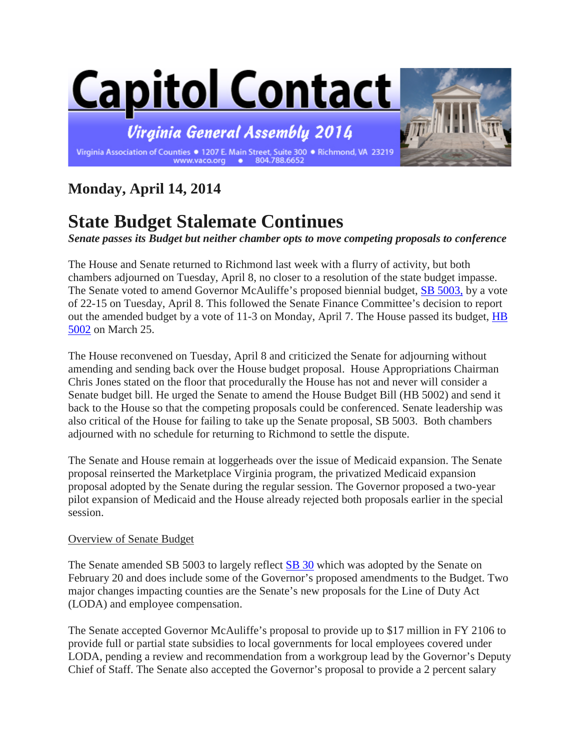

## **Monday, April 14, 2014**

## **State Budget Stalemate Continues**

*Senate passes its Budget but neither chamber opts to move competing proposals to conference*

The House and Senate returned to Richmond last week with a flurry of activity, but both chambers adjourned on Tuesday, April 8, no closer to a resolution of the state budget impasse. The Senate voted to amend Governor McAuliffe's proposed biennial budget, [SB 5003,](http://leg1.state.va.us/cgi-bin/legp504.exe?ses=142&typ=bil&val=sb5003) by a vote of 22-15 on Tuesday, April 8. This followed the Senate Finance Committee's decision to report out the amended budget by a vote of 11-3 on Monday, April 7. The House passed its budget, HB [5002](http://leg1.state.va.us/cgi-bin/legp504.exe?ses=142&typ=bil&val=hb5002) on March 25.

The House reconvened on Tuesday, April 8 and criticized the Senate for adjourning without amending and sending back over the House budget proposal. House Appropriations Chairman Chris Jones stated on the floor that procedurally the House has not and never will consider a Senate budget bill. He urged the Senate to amend the House Budget Bill (HB 5002) and send it back to the House so that the competing proposals could be conferenced. Senate leadership was also critical of the House for failing to take up the Senate proposal, SB 5003. Both chambers adjourned with no schedule for returning to Richmond to settle the dispute.

The Senate and House remain at loggerheads over the issue of Medicaid expansion. The Senate proposal reinserted the Marketplace Virginia program, the privatized Medicaid expansion proposal adopted by the Senate during the regular session. The Governor proposed a two-year pilot expansion of Medicaid and the House already rejected both proposals earlier in the special session.

## Overview of Senate Budget

The Senate amended SB 5003 to largely reflect [SB 30](http://leg1.state.va.us/cgi-bin/legp504.exe?ses=141&typ=bil&val=sb30) which was adopted by the Senate on February 20 and does include some of the Governor's proposed amendments to the Budget. Two major changes impacting counties are the Senate's new proposals for the Line of Duty Act (LODA) and employee compensation.

The Senate accepted Governor McAuliffe's proposal to provide up to \$17 million in FY 2106 to provide full or partial state subsidies to local governments for local employees covered under LODA, pending a review and recommendation from a workgroup lead by the Governor's Deputy Chief of Staff. The Senate also accepted the Governor's proposal to provide a 2 percent salary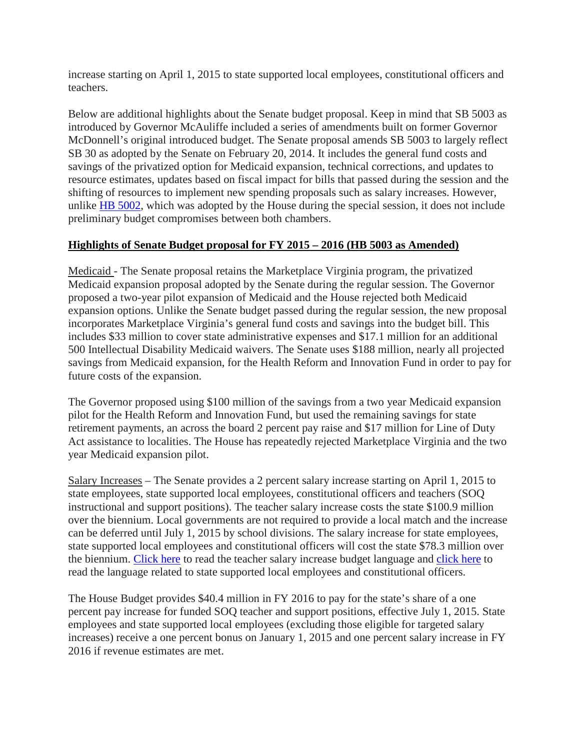increase starting on April 1, 2015 to state supported local employees, constitutional officers and teachers.

Below are additional highlights about the Senate budget proposal. Keep in mind that SB 5003 as introduced by Governor McAuliffe included a series of amendments built on former Governor McDonnell's original introduced budget. The Senate proposal amends SB 5003 to largely reflect SB 30 as adopted by the Senate on February 20, 2014. It includes the general fund costs and savings of the privatized option for Medicaid expansion, technical corrections, and updates to resource estimates, updates based on fiscal impact for bills that passed during the session and the shifting of resources to implement new spending proposals such as salary increases. However, unlike [HB 5002,](http://leg1.state.va.us/cgi-bin/legp504.exe?ses=142&typ=bil&val=hb5002) which was adopted by the House during the special session, it does not include preliminary budget compromises between both chambers.

## **Highlights of Senate Budget proposal for FY 2015 – 2016 (HB 5003 as Amended)**

Medicaid - The Senate proposal retains the Marketplace Virginia program, the privatized Medicaid expansion proposal adopted by the Senate during the regular session. The Governor proposed a two-year pilot expansion of Medicaid and the House rejected both Medicaid expansion options. Unlike the Senate budget passed during the regular session, the new proposal incorporates Marketplace Virginia's general fund costs and savings into the budget bill. This includes \$33 million to cover state administrative expenses and \$17.1 million for an additional 500 Intellectual Disability Medicaid waivers. The Senate uses \$188 million, nearly all projected savings from Medicaid expansion, for the Health Reform and Innovation Fund in order to pay for future costs of the expansion.

The Governor proposed using \$100 million of the savings from a two year Medicaid expansion pilot for the Health Reform and Innovation Fund, but used the remaining savings for state retirement payments, an across the board 2 percent pay raise and \$17 million for Line of Duty Act assistance to localities. The House has repeatedly rejected Marketplace Virginia and the two year Medicaid expansion pilot.

Salary Increases – The Senate provides a 2 percent salary increase starting on April 1, 2015 to state employees, state supported local employees, constitutional officers and teachers (SOQ instructional and support positions). The teacher salary increase costs the state \$100.9 million over the biennium. Local governments are not required to provide a local match and the increase can be deferred until July 1, 2015 by school divisions. The salary increase for state employees, state supported local employees and constitutional officers will cost the state \$78.3 million over the biennium. [Click here](http://leg2.state.va.us/WebData/14amend5002.nsf/f46e72cdf6d7e85585257c840045ee4b/0be7b25f9b1ebbfe85257cb4005fd15e?OpenDocument) to read the teacher salary increase budget language and [click here](http://leg2.state.va.us/WebData/14amend5002.nsf/f46e72cdf6d7e85585257c840045ee4b/11e4884291ce539885257cb4005fd178?OpenDocument) to read the language related to state supported local employees and constitutional officers.

The House Budget provides \$40.4 million in FY 2016 to pay for the state's share of a one percent pay increase for funded SOQ teacher and support positions, effective July 1, 2015. State employees and state supported local employees (excluding those eligible for targeted salary increases) receive a one percent bonus on January 1, 2015 and one percent salary increase in FY 2016 if revenue estimates are met.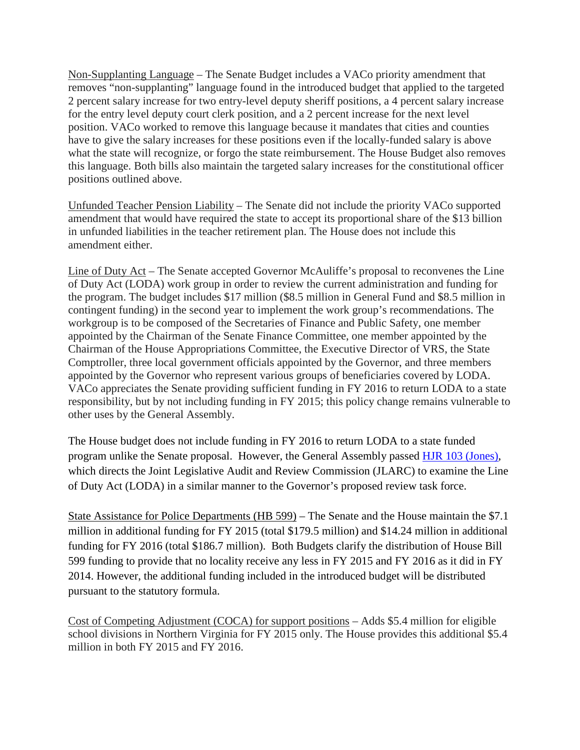Non-Supplanting Language – The Senate Budget includes a VACo priority amendment that removes "non-supplanting" language found in the introduced budget that applied to the targeted 2 percent salary increase for two entry-level deputy sheriff positions, a 4 percent salary increase for the entry level deputy court clerk position, and a 2 percent increase for the next level position. VACo worked to remove this language because it mandates that cities and counties have to give the salary increases for these positions even if the locally-funded salary is above what the state will recognize, or forgo the state reimbursement. The House Budget also removes this language. Both bills also maintain the targeted salary increases for the constitutional officer positions outlined above.

Unfunded Teacher Pension Liability – The Senate did not include the priority VACo supported amendment that would have required the state to accept its proportional share of the \$13 billion in unfunded liabilities in the teacher retirement plan. The House does not include this amendment either.

Line of Duty Act – The Senate accepted Governor McAuliffe's proposal to reconvenes the Line of Duty Act (LODA) work group in order to review the current administration and funding for the program. The budget includes \$17 million (\$8.5 million in General Fund and \$8.5 million in contingent funding) in the second year to implement the work group's recommendations. The workgroup is to be composed of the Secretaries of Finance and Public Safety, one member appointed by the Chairman of the Senate Finance Committee, one member appointed by the Chairman of the House Appropriations Committee, the Executive Director of VRS, the State Comptroller, three local government officials appointed by the Governor, and three members appointed by the Governor who represent various groups of beneficiaries covered by LODA. VACo appreciates the Senate providing sufficient funding in FY 2016 to return LODA to a state responsibility, but by not including funding in FY 2015; this policy change remains vulnerable to other uses by the General Assembly.

The House budget does not include funding in FY 2016 to return LODA to a state funded program unlike the Senate proposal. However, the General Assembly passed [HJR 103 \(Jones\),](http://leg1.state.va.us/cgi-bin/legp504.exe?141+sum+HJ103) which directs the Joint Legislative Audit and Review Commission (JLARC) to examine the Line of Duty Act (LODA) in a similar manner to the Governor's proposed review task force.

State Assistance for Police Departments (HB 599) – The Senate and the House maintain the \$7.1 million in additional funding for FY 2015 (total \$179.5 million) and \$14.24 million in additional funding for FY 2016 (total \$186.7 million). Both Budgets clarify the distribution of House Bill 599 funding to provide that no locality receive any less in FY 2015 and FY 2016 as it did in FY 2014. However, the additional funding included in the introduced budget will be distributed pursuant to the statutory formula.

Cost of Competing Adjustment (COCA) for support positions – Adds \$5.4 million for eligible school divisions in Northern Virginia for FY 2015 only. The House provides this additional \$5.4 million in both FY 2015 and FY 2016.